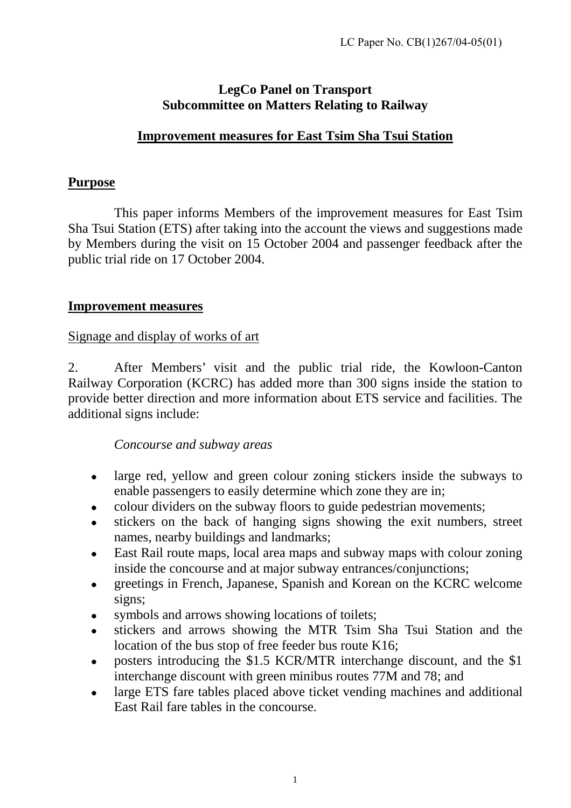## **LegCo Panel on Transport Subcommittee on Matters Relating to Railway**

## **Improvement measures for East Tsim Sha Tsui Station**

#### **Purpose**

 This paper informs Members of the improvement measures for East Tsim Sha Tsui Station (ETS) after taking into the account the views and suggestions made by Members during the visit on 15 October 2004 and passenger feedback after the public trial ride on 17 October 2004.

#### **Improvement measures**

Signage and display of works of art

2. After Members' visit and the public trial ride, the Kowloon-Canton Railway Corporation (KCRC) has added more than 300 signs inside the station to provide better direction and more information about ETS service and facilities. The additional signs include:

#### *Concourse and subway areas*

- large red, yellow and green colour zoning stickers inside the subways to enable passengers to easily determine which zone they are in;
- colour dividers on the subway floors to guide pedestrian movements;
- stickers on the back of hanging signs showing the exit numbers, street names, nearby buildings and landmarks;
- East Rail route maps, local area maps and subway maps with colour zoning inside the concourse and at major subway entrances/conjunctions;
- greetings in French, Japanese, Spanish and Korean on the KCRC welcome signs;
- symbols and arrows showing locations of toilets;
- stickers and arrows showing the MTR Tsim Sha Tsui Station and the location of the bus stop of free feeder bus route K16;
- posters introducing the \$1.5 KCR/MTR interchange discount, and the \$1 interchange discount with green minibus routes 77M and 78; and
- large ETS fare tables placed above ticket vending machines and additional East Rail fare tables in the concourse.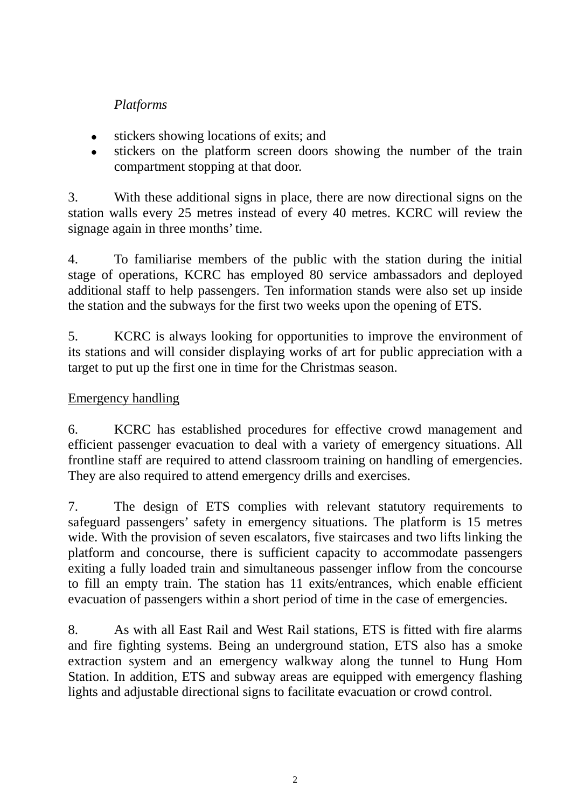# *Platforms*

- $\bullet$  stickers showing locations of exits; and
- stickers on the platform screen doors showing the number of the train compartment stopping at that door.

3. With these additional signs in place, there are now directional signs on the station walls every 25 metres instead of every 40 metres. KCRC will review the signage again in three months' time.

4. To familiarise members of the public with the station during the initial stage of operations, KCRC has employed 80 service ambassadors and deployed additional staff to help passengers. Ten information stands were also set up inside the station and the subways for the first two weeks upon the opening of ETS.

5. KCRC is always looking for opportunities to improve the environment of its stations and will consider displaying works of art for public appreciation with a target to put up the first one in time for the Christmas season.

## Emergency handling

6. KCRC has established procedures for effective crowd management and efficient passenger evacuation to deal with a variety of emergency situations. All frontline staff are required to attend classroom training on handling of emergencies. They are also required to attend emergency drills and exercises.

7. The design of ETS complies with relevant statutory requirements to safeguard passengers' safety in emergency situations. The platform is 15 metres wide. With the provision of seven escalators, five staircases and two lifts linking the platform and concourse, there is sufficient capacity to accommodate passengers exiting a fully loaded train and simultaneous passenger inflow from the concourse to fill an empty train. The station has 11 exits/entrances, which enable efficient evacuation of passengers within a short period of time in the case of emergencies.

8. As with all East Rail and West Rail stations, ETS is fitted with fire alarms and fire fighting systems. Being an underground station, ETS also has a smoke extraction system and an emergency walkway along the tunnel to Hung Hom Station. In addition, ETS and subway areas are equipped with emergency flashing lights and adjustable directional signs to facilitate evacuation or crowd control.